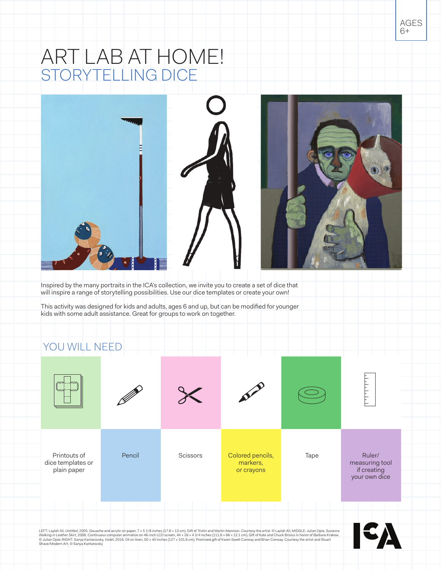# ART LAB AT HOME! STORYTELLING DICE





Inspired by the many portraits in the ICA's collection, we invite you to create a set of dice that will inspire a range of storytelling possibilities. Use our dice templates or create your own!

This activity was designed for kids and adults, ages 6 and up, but can be modified for younger kids with some adult assistance. Great for groups to work on together.

### YOU WILL NEED

![](_page_0_Picture_6.jpeg)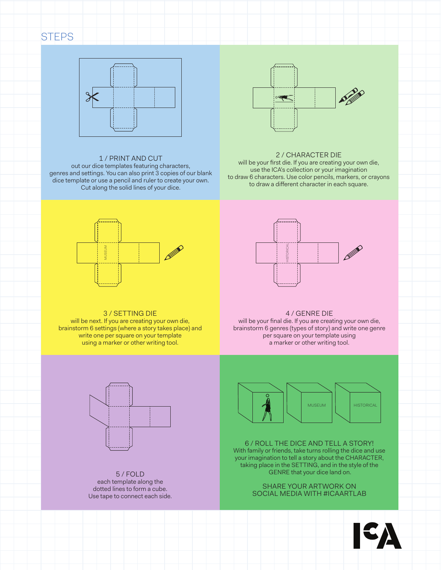## **STEPS**

![](_page_1_Figure_1.jpeg)

### 1 / PRINT AND CUT

out our dice templates featuring characters, genres and settings. You can also print 3 copies of our blank dice template or use a pencil and ruler to create your own. Cut along the solid lines of your dice.

![](_page_1_Figure_4.jpeg)

#### 2 / CHARACTER DIE

will be your first die. If you are creating your own die, use the ICA's collection or your imagination to draw 6 characters. Use color pencils, markers, or crayons to draw a different character in each square.

![](_page_1_Figure_7.jpeg)

![](_page_1_Picture_8.jpeg)

will be next. If you are creating your own die, brainstorm 6 settings (where a story takes place) and write one per square on your template using a marker or other writing tool.

![](_page_1_Picture_10.jpeg)

4 / GENRE DIE will be your final die. If you are creating your own die, brainstorm 6 genres (types of story) and write one genre per square on your template using a marker or other writing tool.

![](_page_1_Figure_12.jpeg)

5 / FOLD each template along the dotted lines to form a cube. Use tape to connect each side.

![](_page_1_Picture_14.jpeg)

6 / ROLL THE DICE AND TELL A STORY! With family or friends, take turns rolling the dice and use your imagination to tell a story about the CHARACTER, taking place in the SETTING, and in the style of the GENRE that your dice land on.

> SHARE YOUR ARTWORK ON SOCIAL MEDIA WITH #ICAARTLAB

![](_page_1_Picture_17.jpeg)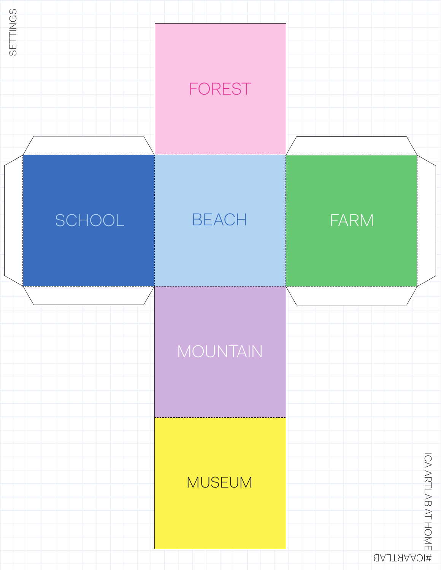![](_page_2_Figure_0.jpeg)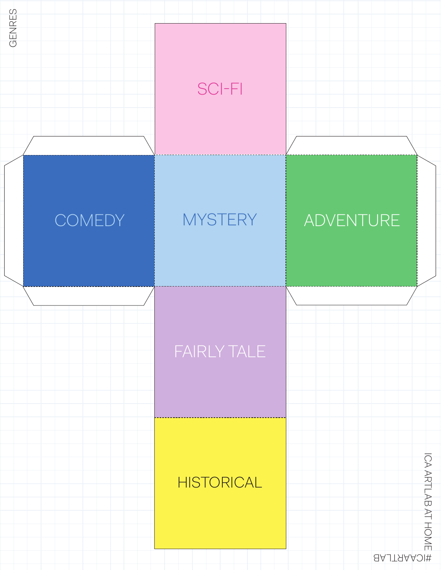![](_page_3_Figure_0.jpeg)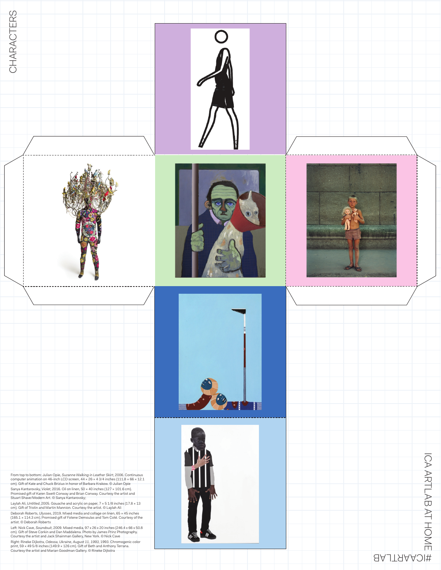![](_page_4_Picture_0.jpeg)